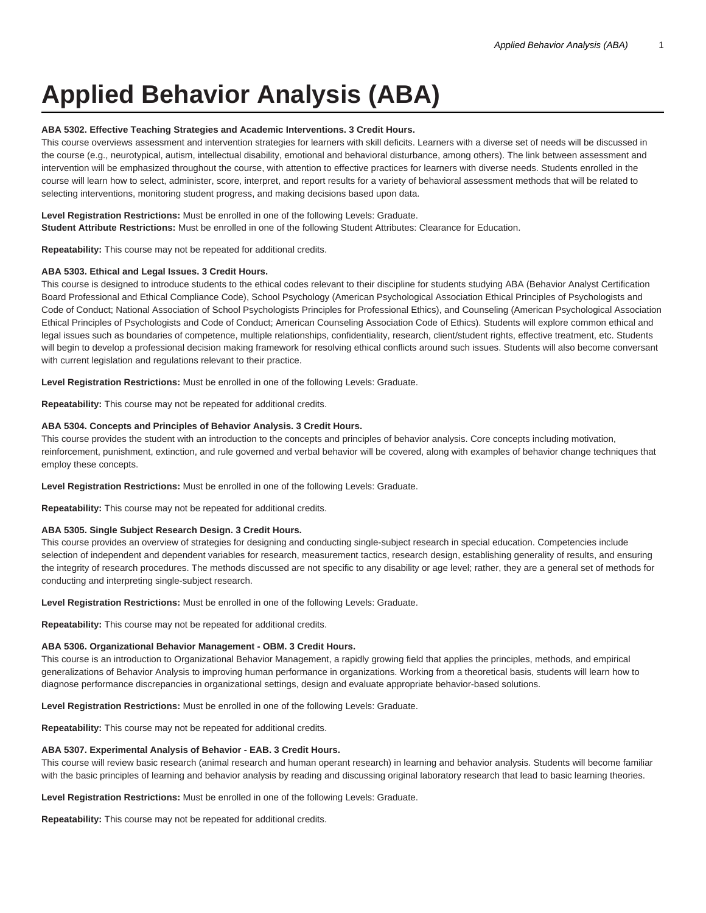# **Applied Behavior Analysis (ABA)**

# **ABA 5302. Effective Teaching Strategies and Academic Interventions. 3 Credit Hours.**

This course overviews assessment and intervention strategies for learners with skill deficits. Learners with a diverse set of needs will be discussed in the course (e.g., neurotypical, autism, intellectual disability, emotional and behavioral disturbance, among others). The link between assessment and intervention will be emphasized throughout the course, with attention to effective practices for learners with diverse needs. Students enrolled in the course will learn how to select, administer, score, interpret, and report results for a variety of behavioral assessment methods that will be related to selecting interventions, monitoring student progress, and making decisions based upon data.

**Level Registration Restrictions:** Must be enrolled in one of the following Levels: Graduate. **Student Attribute Restrictions:** Must be enrolled in one of the following Student Attributes: Clearance for Education.

**Repeatability:** This course may not be repeated for additional credits.

# **ABA 5303. Ethical and Legal Issues. 3 Credit Hours.**

This course is designed to introduce students to the ethical codes relevant to their discipline for students studying ABA (Behavior Analyst Certification Board Professional and Ethical Compliance Code), School Psychology (American Psychological Association Ethical Principles of Psychologists and Code of Conduct; National Association of School Psychologists Principles for Professional Ethics), and Counseling (American Psychological Association Ethical Principles of Psychologists and Code of Conduct; American Counseling Association Code of Ethics). Students will explore common ethical and legal issues such as boundaries of competence, multiple relationships, confidentiality, research, client/student rights, effective treatment, etc. Students will begin to develop a professional decision making framework for resolving ethical conflicts around such issues. Students will also become conversant with current legislation and regulations relevant to their practice.

**Level Registration Restrictions:** Must be enrolled in one of the following Levels: Graduate.

**Repeatability:** This course may not be repeated for additional credits.

# **ABA 5304. Concepts and Principles of Behavior Analysis. 3 Credit Hours.**

This course provides the student with an introduction to the concepts and principles of behavior analysis. Core concepts including motivation, reinforcement, punishment, extinction, and rule governed and verbal behavior will be covered, along with examples of behavior change techniques that employ these concepts.

**Level Registration Restrictions:** Must be enrolled in one of the following Levels: Graduate.

**Repeatability:** This course may not be repeated for additional credits.

# **ABA 5305. Single Subject Research Design. 3 Credit Hours.**

This course provides an overview of strategies for designing and conducting single-subject research in special education. Competencies include selection of independent and dependent variables for research, measurement tactics, research design, establishing generality of results, and ensuring the integrity of research procedures. The methods discussed are not specific to any disability or age level; rather, they are a general set of methods for conducting and interpreting single-subject research.

**Level Registration Restrictions:** Must be enrolled in one of the following Levels: Graduate.

**Repeatability:** This course may not be repeated for additional credits.

#### **ABA 5306. Organizational Behavior Management - OBM. 3 Credit Hours.**

This course is an introduction to Organizational Behavior Management, a rapidly growing field that applies the principles, methods, and empirical generalizations of Behavior Analysis to improving human performance in organizations. Working from a theoretical basis, students will learn how to diagnose performance discrepancies in organizational settings, design and evaluate appropriate behavior-based solutions.

**Level Registration Restrictions:** Must be enrolled in one of the following Levels: Graduate.

**Repeatability:** This course may not be repeated for additional credits.

# **ABA 5307. Experimental Analysis of Behavior - EAB. 3 Credit Hours.**

This course will review basic research (animal research and human operant research) in learning and behavior analysis. Students will become familiar with the basic principles of learning and behavior analysis by reading and discussing original laboratory research that lead to basic learning theories.

**Level Registration Restrictions:** Must be enrolled in one of the following Levels: Graduate.

**Repeatability:** This course may not be repeated for additional credits.